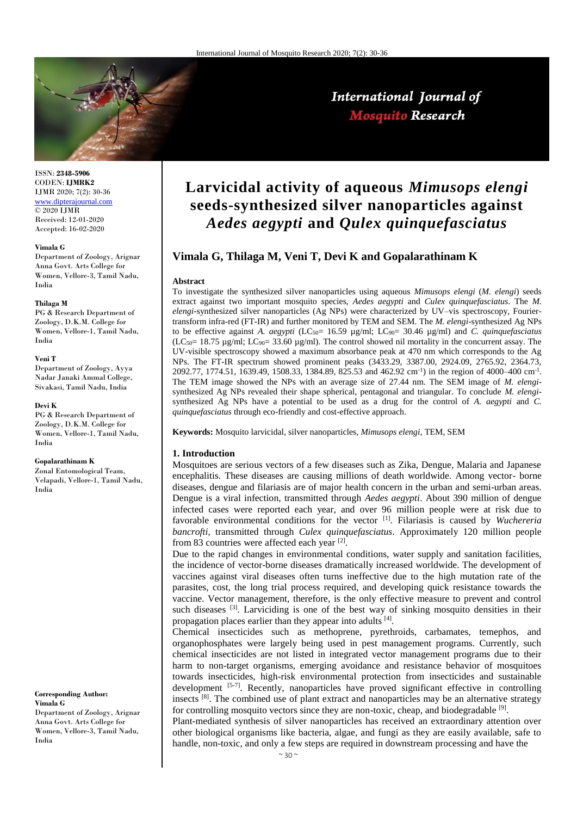

International Journal of **Mosquito Research** 

ISSN: **2348-5906** CODEN: **IJMRK2** IJMR 2020; 7(2): 30-36 [www.dipterajournal.com](http://www.dipterajournal.com/)  $\overline{)$  2020 LIMR Received: 12-01-2020 Accepted: 16-02-2020

#### **Vimala G**

Department of Zoology, Arignar Anna Govt. Arts College for Women, Vellore-3, Tamil Nadu, India

#### **Thilaga M**

PG & Research Department of Zoology, D.K.M. College for Women, Vellore-1, Tamil Nadu, India

#### **Veni T**

Department of Zoology, Ayya Nadar Janaki Ammal College, Sivakasi, Tamil Nadu, India

#### **Devi K**

PG & Research Department of Zoology, D.K.M. College for Women, Vellore-1, Tamil Nadu, India

#### **Gopalarathinam K**

Zonal Entomological Team, Velapadi, Vellore-1, Tamil Nadu, India

#### **Corresponding Author: Vimala G**

Department of Zoology, Arignar Anna Govt. Arts College for Women, Vellore-3, Tamil Nadu, India

# **Larvicidal activity of aqueous** *Mimusops elengi*  **seeds-synthesized silver nanoparticles against**  *Aedes aegypti* **and** *Qulex quinquefasciatus*

# **Vimala G, Thilaga M, Veni T, Devi K and Gopalarathinam K**

#### **Abstract**

To investigate the synthesized silver nanoparticles using aqueous *Mimusops elengi* (*M. elengi*) seeds extract against two important mosquito species, *Aedes aegypti* and *Culex quinquefasciatus*. The *M. elengi*-synthesized silver nanoparticles (Ag NPs) were characterized by UV–vis spectroscopy, Fouriertransform infra-red (FT-IR) and further monitored by TEM and SEM. The *M. elengi*-synthesized Ag NPs to be effective against *A. aegypti* (LC<sub>50</sub>= 16.59 μg/ml; LC<sub>90</sub>= 30.46 μg/ml) and *C. quinquefasciatus*  $(LC<sub>50</sub>= 18.75 \mu g/ml; LC<sub>90</sub>= 33.60 \mu g/ml)$ . The control showed nil mortality in the concurrent assay. The UV-visible spectroscopy showed a maximum absorbance peak at 470 nm which corresponds to the Ag NPs. The FT-IR spectrum showed prominent peaks (3433.29, 3387.00, 2924.09, 2765.92, 2364.73,  $2092.77, 1774.51, 1639.49, 1508.33, 1384.89, 825.53$  and  $462.92 \text{ cm}^{-1}$  in the region of  $4000-400 \text{ cm}^{-1}$ . The TEM image showed the NPs with an average size of 27.44 nm. The SEM image of *M. elengi*synthesized Ag NPs revealed their shape spherical, pentagonal and triangular. To conclude *M. elengi*synthesized Ag NPs have a potential to be used as a drug for the control of *A. aegypti* and *C. quinquefasciatus* through eco-friendly and cost-effective approach.

**Keywords:** Mosquito larvicidal, silver nanoparticles, *Mimusops elengi,* TEM, SEM

## **1. Introduction**

Mosquitoes are serious vectors of a few diseases such as Zika, Dengue, Malaria and Japanese encephalitis. These diseases are causing millions of death worldwide. Among vector- borne diseases, dengue and filariasis are of major health concern in the urban and semi-urban areas. Dengue is a viral infection, transmitted through *Aedes aegypti*. About 390 million of dengue infected cases were reported each year, and over 96 million people were at risk due to favorable environmental conditions for the vector [1]. Filariasis is caused by *Wuchereria bancrofti*, transmitted through *Culex quinquefasciatus*. Approximately 120 million people from 83 countries were affected each year <sup>[2]</sup>.

Due to the rapid changes in environmental conditions, water supply and sanitation facilities, the incidence of vector-borne diseases dramatically increased worldwide. The development of vaccines against viral diseases often turns ineffective due to the high mutation rate of the parasites, cost, the long trial process required, and developing quick resistance towards the vaccine. Vector management, therefore, is the only effective measure to prevent and control such diseases  $[3]$ . Larviciding is one of the best way of sinking mosquito densities in their propagation places earlier than they appear into adults [4].

Chemical insecticides such as methoprene, pyrethroids, carbamates, temephos, and organophosphates were largely being used in pest management programs. Currently, such chemical insecticides are not listed in integrated vector management programs due to their harm to non-target organisms, emerging avoidance and resistance behavior of mosquitoes towards insecticides, high-risk environmental protection from insecticides and sustainable development  $[5-7]$ . Recently, nanoparticles have proved significant effective in controlling insects  $[8]$ . The combined use of plant extract and nanoparticles may be an alternative strategy for controlling mosquito vectors since they are non-toxic, cheap, and biodegradable <sup>[9]</sup>.

Plant-mediated synthesis of silver nanoparticles has received an extraordinary attention over other biological organisms like bacteria, algae, and fungi as they are easily available, safe to handle, non-toxic, and only a few steps are required in downstream processing and have the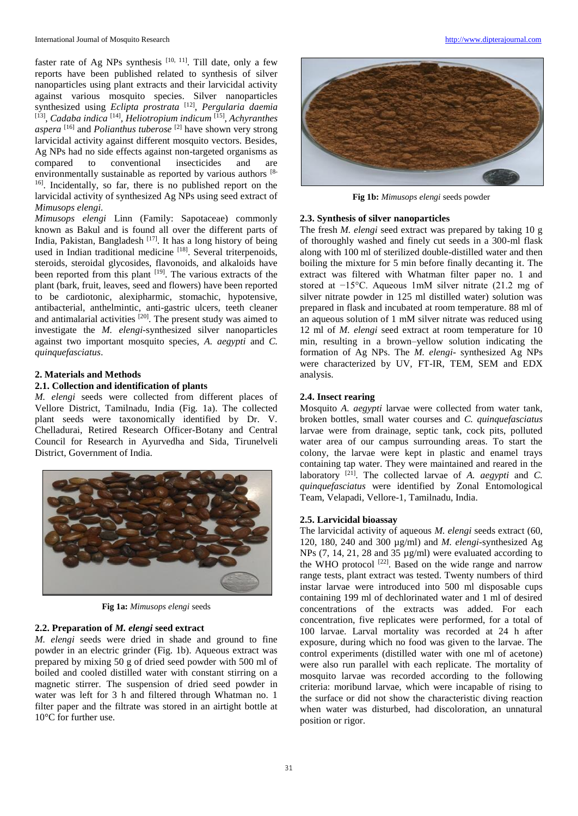faster rate of Ag NPs synthesis  $[10, 11]$ . Till date, only a few reports have been published related to synthesis of silver nanoparticles using plant extracts and their larvicidal activity against various mosquito species. Silver nanoparticles synthesized using *Eclipta prostrata* <sup>[12]</sup>, *Pergularia daemia* <sup>[13]</sup>, *Cadaba indica* <sup>[14]</sup>, *Heliotropium indicum* <sup>[15]</sup>, *Achyranthes aspera* [16] and *Polianthus tuberose* [2] have shown very strong larvicidal activity against different mosquito vectors. Besides, Ag NPs had no side effects against non-targeted organisms as compared to conventional insecticides and are environmentally sustainable as reported by various authors [8-1] <sup>16]</sup>. Incidentally, so far, there is no published report on the larvicidal activity of synthesized Ag NPs using seed extract of *Mimusops elengi.*

*Mimusops elengi* Linn (Family: Sapotaceae) commonly known as Bakul and is found all over the different parts of India, Pakistan, Bangladesh [17]. It has a long history of being used in Indian traditional medicine [18]. Several triterpenoids, steroids, steroidal glycosides, flavonoids, and alkaloids have been reported from this plant  $[19]$ . The various extracts of the plant (bark, fruit, leaves, seed and flowers) have been reported to be cardiotonic, alexipharmic, stomachic, hypotensive, antibacterial, anthelmintic, anti-gastric ulcers, teeth cleaner and antimalarial activities [20]. The present study was aimed to investigate the *M. elengi-*synthesized silver nanoparticles against two important mosquito species, *A. aegypti* and *C. quinquefasciatus*.

# **2. Materials and Methods**

## **2.1. Collection and identification of plants**

*M. elengi* seeds were collected from different places of Vellore District, Tamilnadu, India (Fig. 1a). The collected plant seeds were taxonomically identified by Dr. V. Chelladurai, Retired Research Officer-Botany and Central Council for Research in Ayurvedha and Sida, Tirunelveli District, Government of India.



**Fig 1a:** *Mimusops elengi* seeds

# **2.2. Preparation of** *M. elengi* **seed extract**

*M. elengi* seeds were dried in shade and ground to fine powder in an electric grinder (Fig. 1b). Aqueous extract was prepared by mixing 50 g of dried seed powder with 500 ml of boiled and cooled distilled water with constant stirring on a magnetic stirrer. The suspension of dried seed powder in water was left for 3 h and filtered through Whatman no. 1 filter paper and the filtrate was stored in an airtight bottle at 10°C for further use.



**Fig 1b:** *Mimusops elengi* seeds powder

## **2.3. Synthesis of silver nanoparticles**

The fresh *M. elengi* seed extract was prepared by taking 10 g of thoroughly washed and finely cut seeds in a 300-ml flask along with 100 ml of sterilized double-distilled water and then boiling the mixture for 5 min before finally decanting it. The extract was filtered with Whatman filter paper no. 1 and stored at −15°C. Aqueous 1mM silver nitrate (21.2 mg of silver nitrate powder in 125 ml distilled water) solution was prepared in flask and incubated at room temperature. 88 ml of an aqueous solution of 1 mM silver nitrate was reduced using 12 ml of *M. elengi* seed extract at room temperature for 10 min, resulting in a brown–yellow solution indicating the formation of Ag NPs. The *M. elengi*- synthesized Ag NPs were characterized by UV, FT-IR, TEM, SEM and EDX analysis.

## **2.4. Insect rearing**

Mosquito *A. aegypti* larvae were collected from water tank, broken bottles, small water courses and *C. quinquefasciatus* larvae were from drainage, septic tank, cock pits, polluted water area of our campus surrounding areas. To start the colony, the larvae were kept in plastic and enamel trays containing tap water. They were maintained and reared in the laboratory <sup>[21]</sup>. The collected larvae of *A. aegypti* and *C. quinquefasciatus* were identified by Zonal Entomological Team, Velapadi, Vellore-1, Tamilnadu, India.

## **2.5. Larvicidal bioassay**

The larvicidal activity of aqueous *M. elengi* seeds extract (60, 120, 180, 240 and 300 µg/ml) and *M. elengi*-synthesized Ag NPs (7, 14, 21, 28 and 35 µg/ml) were evaluated according to the WHO protocol<sup>[22]</sup>. Based on the wide range and narrow range tests, plant extract was tested. Twenty numbers of third instar larvae were introduced into 500 ml disposable cups containing 199 ml of dechlorinated water and 1 ml of desired concentrations of the extracts was added. For each concentration, five replicates were performed, for a total of 100 larvae. Larval mortality was recorded at 24 h after exposure, during which no food was given to the larvae. The control experiments (distilled water with one ml of acetone) were also run parallel with each replicate. The mortality of mosquito larvae was recorded according to the following criteria: moribund larvae, which were incapable of rising to the surface or did not show the characteristic diving reaction when water was disturbed, had discoloration, an unnatural position or rigor.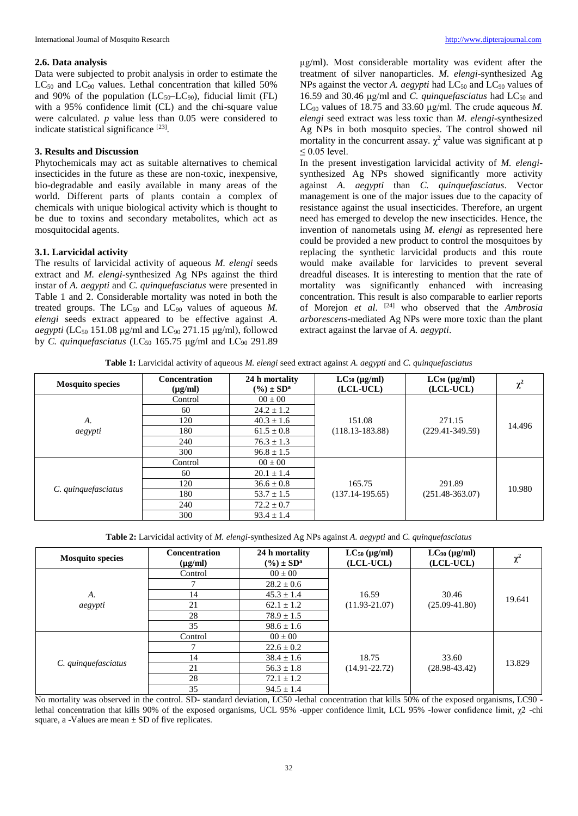#### **2.6. Data analysis**

Data were subjected to probit analysis in order to estimate the  $LC_{50}$  and  $LC_{90}$  values. Lethal concentration that killed 50% and 90% of the population  $(LC_{50}-LC_{90})$ , fiducial limit (FL) with a 95% confidence limit (CL) and the chi-square value were calculated. *p* value less than 0.05 were considered to indicate statistical significance [23].

## **3. Results and Discussion**

Phytochemicals may act as suitable alternatives to chemical insecticides in the future as these are non-toxic, inexpensive, bio-degradable and easily available in many areas of the world. Different parts of plants contain a complex of chemicals with unique biological activity which is thought to be due to toxins and secondary metabolites, which act as mosquitocidal agents.

#### **3.1. Larvicidal activity**

The results of larvicidal activity of aqueous *M. elengi* seeds extract and *M. elengi*-synthesized Ag NPs against the third instar of *A. aegypti* and *C. quinquefasciatus* were presented in Table 1 and 2. Considerable mortality was noted in both the treated groups. The  $LC_{50}$  and  $LC_{90}$  values of aqueous  $M$ . *elengi* seeds extract appeared to be effective against *A. aegypti* (LC<sub>50</sub> 151.08 μg/ml and LC<sub>90</sub> 271.15 μg/ml), followed by *C. quinquefasciatus* (LC<sub>50</sub> 165.75 μg/ml and LC<sub>90</sub> 291.89

μg/ml). Most considerable mortality was evident after the treatment of silver nanoparticles. *M. elengi*-synthesized Ag NPs against the vector *A. aegypti* had  $LC_{50}$  and  $LC_{90}$  values of 16.59 and 30.46 μg/ml and *C. quinquefasciatus* had LC<sub>50</sub> and LC<sup>90</sup> values of 18.75 and 33.60 μg/ml. The crude aqueous *M. elengi* seed extract was less toxic than *M. elengi*-synthesized Ag NPs in both mosquito species. The control showed nil mortality in the concurrent assay.  $\chi^2$  value was significant at p  $\leq$  0.05 level.

In the present investigation larvicidal activity of *M. elengi*synthesized Ag NPs showed significantly more activity against *A. aegypti* than *C. quinquefasciatus*. Vector management is one of the major issues due to the capacity of resistance against the usual insecticides. Therefore, an urgent need has emerged to develop the new insecticides. Hence, the invention of nanometals using *M. elengi* as represented here could be provided a new product to control the mosquitoes by replacing the synthetic larvicidal products and this route would make available for larvicides to prevent several dreadful diseases. It is interesting to mention that the rate of mortality was significantly enhanced with increasing concentration. This result is also comparable to earlier reports of Morejon *et al*. [24] who observed that the *Ambrosia arborescens*-mediated Ag NPs were more toxic than the plant extract against the larvae of *A. aegypti*.

**Table 1:** Larvicidal activity of aqueous *M. elengi* seed extract against *A. aegypti* and *C. quinquefasciatus*

| <b>Mosquito species</b> | <b>Concentration</b><br>$(\mu g/ml)$ | 24 h mortality<br>$(\%) \pm SD^a$ | $LC_{50}$ (µg/ml)<br>(LCL-UCL)             | $LC_{90}$ (µg/ml)<br>(LCL-UCL) | $\mathbf{v}^2$<br>v. |
|-------------------------|--------------------------------------|-----------------------------------|--------------------------------------------|--------------------------------|----------------------|
|                         | Control                              | $00 \pm 00$                       |                                            |                                |                      |
|                         | 60                                   | $24.2 \pm 1.2$                    |                                            |                                |                      |
| А.                      | 120                                  | $40.3 \pm 1.6$                    | 151.08                                     | 271.15                         | 14.496               |
| aegypti                 | 180                                  | $61.5 \pm 0.8$                    | $(118.13 - 183.88)$                        | $(229.41 - 349.59)$            |                      |
|                         | 240                                  | $76.3 \pm 1.3$                    |                                            |                                |                      |
|                         | 300                                  | $96.8 \pm 1.5$                    |                                            |                                |                      |
| C. quinquefasciatus     | Control                              | $00 \pm 00$                       |                                            |                                |                      |
|                         | 60                                   | $20.1 \pm 1.4$                    |                                            |                                |                      |
|                         | 120                                  | $36.6 \pm 0.8$                    | 165.75                                     | 291.89                         | 10.980               |
|                         | 180                                  | $53.7 \pm 1.5$                    | $(137.14 - 195.65)$<br>$(251.48 - 363.07)$ |                                |                      |
|                         | 240                                  | $72.2 + 0.7$                      |                                            |                                |                      |
|                         | 300                                  | $93.4 \pm 1.4$                    |                                            |                                |                      |

**Table 2:** Larvicidal activity of *M. elengi-*synthesized Ag NPs against *A. aegypti* and *C. quinquefasciatus*

| <b>Mosquito species</b> | <b>Concentration</b><br>$(\mu g/ml)$ | 24 h mortality<br>$(\%) \pm SD^a$ | $LC_{50}$ (µg/ml)<br>(LCL-UCL) | $LC_{90}$ ( $\mu$ g/ml)<br>(LCL-UCL) | χ      |
|-------------------------|--------------------------------------|-----------------------------------|--------------------------------|--------------------------------------|--------|
|                         | Control                              | $00 \pm 00$                       |                                |                                      |        |
|                         |                                      | $28.2 \pm 0.6$                    |                                |                                      |        |
| A.                      | 14                                   | $45.3 \pm 1.4$                    | 16.59                          | 30.46                                | 19.641 |
| aegypti                 | 21                                   | $62.1 \pm 1.2$                    | $(11.93 - 21.07)$              | $(25.09 - 41.80)$                    |        |
|                         | 28                                   | $78.9 \pm 1.5$                    |                                |                                      |        |
|                         | 35                                   | $98.6 \pm 1.6$                    |                                |                                      |        |
|                         | Control                              | $00 \pm 00$                       |                                |                                      |        |
|                         |                                      | $22.6 \pm 0.2$                    |                                |                                      |        |
|                         | 14                                   | $38.4 \pm 1.6$                    | 18.75                          | 33.60                                | 13.829 |
| C. quinquefasciatus     | 21                                   | $56.3 \pm 1.8$                    | $(14.91 - 22.72)$              | $(28.98 - 43.42)$                    |        |
|                         | 28                                   | $72.1 \pm 1.2$                    |                                |                                      |        |
|                         | 35                                   | $94.5 \pm 1.4$                    |                                |                                      |        |

No mortality was observed in the control. SD- standard deviation, LC50 -lethal concentration that kills 50% of the exposed organisms, LC90 lethal concentration that kills 90% of the exposed organisms, UCL 95% -upper confidence limit, LCL 95% -lower confidence limit, χ2 -chi square, a -Values are mean  $\pm$  SD of five replicates.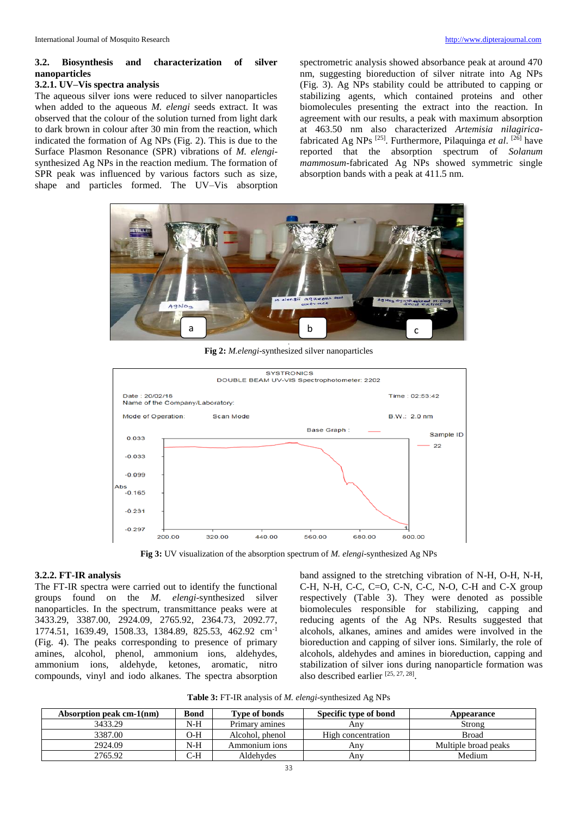# **3.2. Biosynthesis and characterization of silver nanoparticles**

## **3.2.1. UV–Vis spectra analysis**

The aqueous silver ions were reduced to silver nanoparticles when added to the aqueous *M. elengi* seeds extract. It was observed that the colour of the solution turned from light dark to dark brown in colour after 30 min from the reaction, which indicated the formation of Ag NPs (Fig. 2). This is due to the Surface Plasmon Resonance (SPR) vibrations of *M. elengi*synthesized Ag NPs in the reaction medium. The formation of SPR peak was influenced by various factors such as size, shape and particles formed. The UV–Vis absorption

spectrometric analysis showed absorbance peak at around 470 nm, suggesting bioreduction of silver nitrate into Ag NPs (Fig. 3). Ag NPs stability could be attributed to capping or stabilizing agents, which contained proteins and other biomolecules presenting the extract into the reaction. In agreement with our results, a peak with maximum absorption at 463.50 nm also characterized *Artemisia nilagirica*fabricated Ag NPs [25]. Furthermore, Pilaquinga *et al*. [26] have reported that the absorption spectrum of *Solanum mammosum*-fabricated Ag NPs showed symmetric single absorption bands with a peak at 411.5 nm.



**Fig 2:** *M.elengi*-synthesized silver nanoparticles



**Fig 3:** UV visualization of the absorption spectrum of *M. elengi*-synthesized Ag NPs

## **3.2.2. FT-IR analysis**

The FT-IR spectra were carried out to identify the functional groups found on the *M. elengi*-synthesized silver nanoparticles. In the spectrum, transmittance peaks were at 3433.29, 3387.00, 2924.09, 2765.92, 2364.73, 2092.77, 1774.51, 1639.49, 1508.33, 1384.89, 825.53, 462.92 cm-1 (Fig. 4). The peaks corresponding to presence of primary amines, alcohol, phenol, ammonium ions, aldehydes, ammonium ions, aldehyde, ketones, aromatic, nitro compounds, vinyl and iodo alkanes. The spectra absorption

band assigned to the stretching vibration of N-H, O-H, N-H, C-H, N-H, C-C, C=O, C-N, C-C, N-O, C-H and C-X group respectively (Table 3). They were denoted as possible biomolecules responsible for stabilizing, capping and reducing agents of the Ag NPs. Results suggested that alcohols, alkanes, amines and amides were involved in the bioreduction and capping of silver ions. Similarly, the role of alcohols, aldehydes and amines in bioreduction, capping and stabilization of silver ions during nanoparticle formation was also described earlier [25, 27, 28].

**Table 3:** FT-IR analysis of *M. elengi*-synthesized Ag NPs

| Absorption peak cm-1(nm) | Bond  | Type of bonds   | Specific type of bond | <b>Appearance</b>    |
|--------------------------|-------|-----------------|-----------------------|----------------------|
| 3433.29                  | N-H   | Primary amines  | Anv                   | Strong               |
| 3387.00                  | O-H   | Alcohol, phenol | High concentration    | <b>Broad</b>         |
| 2924.09                  | $N-H$ | Ammonium ions   | Anv                   | Multiple broad peaks |
| 2765.92                  | C-H   | Aldehydes       | Anv                   | Medium               |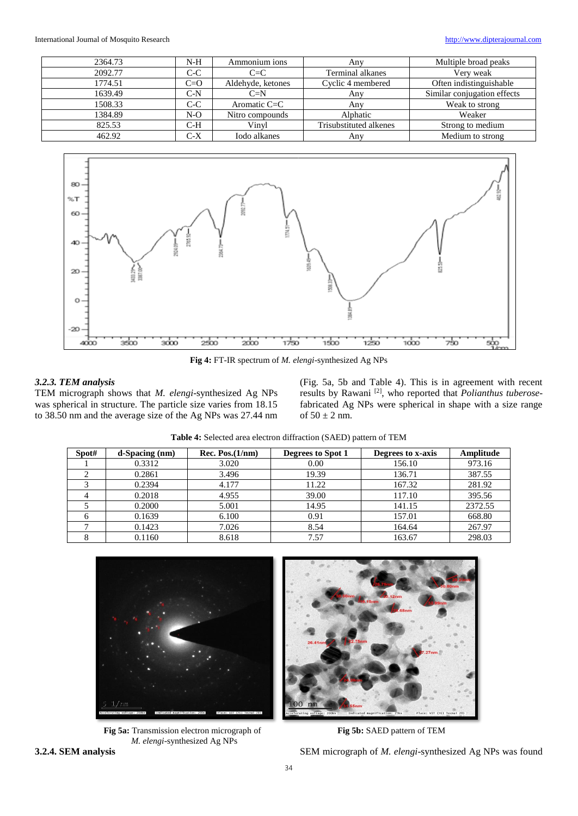| 2364.73 | $N-H$ | Ammonium ions     | Any                     | Multiple broad peaks        |
|---------|-------|-------------------|-------------------------|-----------------------------|
| 2092.77 | $C-C$ | $C=C$             | <b>Terminal alkanes</b> | Very weak                   |
| 1774.51 | $C=O$ | Aldehyde, ketones | Cyclic 4 membered       | Often indistinguishable     |
| 1639.49 | $C-N$ | $C=N$             | Anv                     | Similar conjugation effects |
| 1508.33 | $C-C$ | Aromatic $C = C$  | Anv                     | Weak to strong              |
| 1384.89 | $N-O$ | Nitro compounds   | Alphatic                | Weaker                      |
| 825.53  | $C-H$ | Vinyl             | Trisubstituted alkenes  | Strong to medium            |
| 462.92  | $C-X$ | Iodo alkanes      | Any                     | Medium to strong            |
|         |       |                   |                         |                             |



**Fig 4:** FT-IR spectrum of *M. elengi*-synthesized Ag NPs

# *3.2.3. TEM analysis*

TEM micrograph shows that *M. elengi*-synthesized Ag NPs was spherical in structure. The particle size varies from 18.15 to 38.50 nm and the average size of the Ag NPs was 27.44 nm (Fig. 5a, 5b and Table 4). This is in agreement with recent results by Rawani [2], who reported that *Polianthus tuberose*fabricated Ag NPs were spherical in shape with a size range of  $50 \pm 2$  nm.

| <b>Table 4:</b> Selected area electron diffraction (SAED) pattern of TEM |                 |                   |                   |  |  |
|--------------------------------------------------------------------------|-----------------|-------------------|-------------------|--|--|
| $d$ -Spacing $(nm)$                                                      | Rec. Pos.(1/nm) | Degrees to Spot 1 | Degrees to x-axis |  |  |
| 0.3312                                                                   | 3.020           | 0.00              | 156.10            |  |  |
| 0.2861                                                                   | 3.496           | 19.39             | 136.71            |  |  |

| Spot# | $d$ -Spacing $(nm)$ | Rec. Pos.(1/nm) | Degrees to Spot 1 | Degrees to x-axis | Amplitude |
|-------|---------------------|-----------------|-------------------|-------------------|-----------|
|       | 0.3312              | 3.020           | 0.00              | 156.10            | 973.16    |
|       | 0.2861              | 3.496           | 19.39             | 136.71            | 387.55    |
|       | 0.2394              | 4.177           | 11.22             | 167.32            | 281.92    |
|       | 0.2018              | 4.955           | 39.00             | 117.10            | 395.56    |
|       | 0.2000              | 5.001           | 14.95             | 141.15            | 2372.55   |
|       | 0.1639              | 6.100           | 0.91              | 157.01            | 668.80    |
|       | 0.1423              | 7.026           | 8.54              | 164.64            | 267.97    |
|       | 0.1160              | 8.618           | 7.57              | 163.67            | 298.03    |



**Fig 5a:** Transmission electron micrograph of **Fig 5b:** SAED pattern of TEM *M. elengi*-synthesized Ag NPs

**3.2.4. SEM analysis** SEM micrograph of *M. elengi*-synthesized Ag NPs was found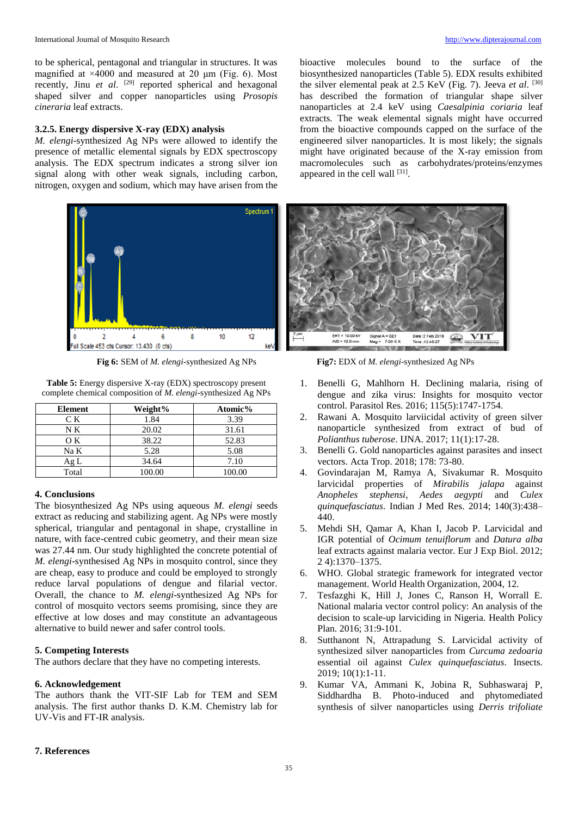to be spherical, pentagonal and triangular in structures. It was magnified at  $\times$ 4000 and measured at 20  $\mu$ m (Fig. 6). Most recently, Jinu et al. <sup>[29]</sup> reported spherical and hexagonal shaped silver and copper nanoparticles using *Prosopis cineraria* leaf extracts.

## **3.2.5. Energy dispersive X-ray (EDX) analysis**

*M. elengi*-synthesized Ag NPs were allowed to identify the presence of metallic elemental signals by EDX spectroscopy analysis. The EDX spectrum indicates a strong silver ion signal along with other weak signals, including carbon, nitrogen, oxygen and sodium, which may have arisen from the



**Fig 6:** SEM of *M. elengi*-synthesized Ag NPs **Fig7:** EDX of *M. elengi*-synthesized Ag NPs

**Table 5:** Energy dispersive X-ray (EDX) spectroscopy present complete chemical composition of *M. elengi*-synthesized Ag NPs

| <b>Element</b> | Weight% | Atomic% |
|----------------|---------|---------|
| CК             | 1.84    | 3.39    |
| N K            | 20.02   | 31.61   |
| OК             | 38.22   | 52.83   |
| Na K           | 5.28    | 5.08    |
| Ag L           | 34.64   | 7.10    |
| Total          | 100.00  | 100.00  |

## **4. Conclusions**

The biosynthesized Ag NPs using aqueous *M. elengi* seeds extract as reducing and stabilizing agent. Ag NPs were mostly spherical, triangular and pentagonal in shape, crystalline in nature, with face-centred cubic geometry, and their mean size was 27.44 nm. Our study highlighted the concrete potential of *M. elengi*-synthesised Ag NPs in mosquito control, since they are cheap, easy to produce and could be employed to strongly reduce larval populations of dengue and filarial vector. Overall, the chance to *M. elengi*-synthesized Ag NPs for control of mosquito vectors seems promising, since they are effective at low doses and may constitute an advantageous alternative to build newer and safer control tools.

## **5. Competing Interests**

The authors declare that they have no competing interests.

#### **6. Acknowledgement**

The authors thank the VIT-SIF Lab for TEM and SEM analysis. The first author thanks D. K.M. Chemistry lab for UV-Vis and FT-IR analysis.

bioactive molecules bound to the surface of the biosynthesized nanoparticles (Table 5). EDX results exhibited the silver elemental peak at 2.5 KeV (Fig. 7). Jeeva *et al*. [30] has described the formation of triangular shape silver nanoparticles at 2.4 keV using *Caesalpinia coriaria* leaf extracts. The weak elemental signals might have occurred from the bioactive compounds capped on the surface of the engineered silver nanoparticles. It is most likely; the signals might have originated because of the X-ray emission from macromolecules such as carbohydrates/proteins/enzymes appeared in the cell wall [31].



- 1. Benelli G, Mahlhorn H. Declining malaria, rising of dengue and zika virus: Insights for mosquito vector control. Parasitol Res. 2016; 115(5):1747-1754.
- 2. Rawani A. Mosquito larviicidal activity of green silver nanoparticle synthesized from extract of bud of *Polianthus tuberose*. IJNA. 2017; 11(1):17-28.
- 3. Benelli G. Gold nanoparticles against parasites and insect vectors. Acta Trop. 2018; 178: 73-80.
- 4. Govindarajan M, Ramya A, Sivakumar R. Mosquito larvicidal properties of *Mirabilis jalapa* against *Anopheles stephensi*, *Aedes aegypti* and *Culex quinquefasciatus*. Indian J Med Res. 2014; 140(3):438– 440.
- 5. Mehdi SH, Qamar A, Khan I, Jacob P. Larvicidal and IGR potential of *Ocimum tenuiflorum* and *Datura alba* leaf extracts against malaria vector. Eur J Exp Biol. 2012; 2 4):1370–1375.
- 6. WHO. Global strategic framework for integrated vector management. World Health Organization, 2004, 12.
- 7. Tesfazghi K, Hill J, Jones C, Ranson H, Worrall E. National malaria vector control policy: An analysis of the decision to scale-up larviciding in Nigeria. Health Policy Plan. 2016; 31:9-101.
- 8. Sutthanont N, Attrapadung S. Larvicidal activity of synthesized silver nanoparticles from *Curcuma zedoaria* essential oil against *Culex quinquefasciatus*. Insects. 2019; 10(1):1-11.
- 9. Kumar VA, Ammani K, Jobina R, Subhaswaraj P, Siddhardha B. Photo-induced and phytomediated synthesis of silver nanoparticles using *Derris trifoliate*